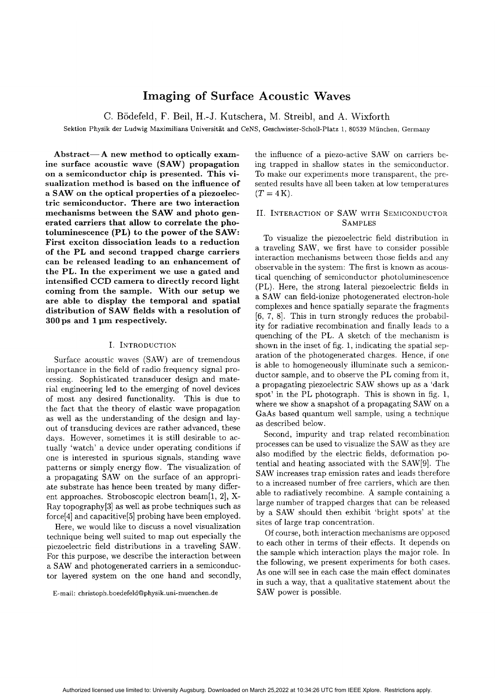# **Imaging of Surface Acoustic Waves**

C. Bodefeld, F. Beil, H.-J. Kutschera, M. Streibl, and **A.** Wixforth

**Sektion Physik der Ludwig Maxirnilians Universitat and CeNS, Geschwister-Scholl-Platz 1, 80539 Miinchen, Germany**

**Abstract-A new method to optically examine surface acoustic wave (SAW) propagation on a semiconductor chip is presented. This visualization method is based on the influence of a SAW on the optical properties of a piezoelectric semiconductor. There are two interaction mechanisms between the SAW and photo generated carriers that allow to correlate the photoluminescence (PL) to the power of the SAW: First exciton dissociation leads to a reduction of the PL and second trapped charge carriers can be released leading to an enhancement of the PL. In the experiment we use a gated and intensified CCD camera to directly record light coming from the sample. With our setup we are able to display the temporal and spatial distribution of SAW fields with a resolution of 300 ps and 1pm respectively.**

# I. INTRODUCTION

Surface acoustic waves **(SAW)** are of tremendous importance in the field of radio frequency signal processing. Sophisticated transducer design and material engineering led to the emerging of novel devices of most any desired functionality. This is due to the fact that the theory of elastic wave propagation as well as the understanding of the design and layout of transducing devices are rather advanced, these days. However, sometimes it is still desirable to actually 'watch' a device under operating conditions if one is interested in spurious signals, standing wave patterns or simply energy flow. The visualization of a propagating **SAW** on the surface of an appropriate substrate has hence been treated by many different approaches. Stroboscopic electron beam[l, 21, X-Ray topography[3] as well as probe techniques such as force[4] and capacitive[5] probing have been employed.

Here, we would like to discuss a novel visualization technique being well suited to map out especially the piezoelectric field distributions in a traveling **SAW.** For this purpose, we describe the interaction between a **SAW** and photogenerated carriers in a semiconductor layered system on the one hand and secondly,

the influence of a piezo-active **SAW** on carriers being trapped in shallow states in the semiconductor. To make our experiments more transparent, the presented results have all been taken at low temperatures  $(T=4K)$ .

# II. INTERACTION OF SAW WITH SEMICONDUCTOR **SAMPLES**

To visualize the piezoelectric field distribution in a traveling **SAW,** we first have to consider possible interaction mechanisms between those fields and any observable in the system: The first is known as acoustical quenching of semiconductor photoluminescence (PL). Here, the strong lateral piezoelectric fields in a **SAW** can field-ionize photogenerated electron-hole complexes and hence spatially separate the fragments [6, 7, 81. This in turn strongly reduces the probability for radiative recombination and finally leads to a quenching of the PL. **A** sketch of the mechanism is shown in the inset of fig. 1, indicating the spatial separation of the photogenerated charges. Hence, if one is able to homogeneously illuminate such a semiconductor sample, and to observe the PL coming from it, a propagating piezoelectric **SAW** shows up as a 'dark spot' in the PL photograph. This is shown in fig. 1, where we show a snapshot of a propagating **SAW** on a GaAs based quantum well sample, using a technique as described below.

Second, impurity and trap related recombination processes can be used to visualize the SAW as they are also modified by the electric fields, deformation potential and heating associated with the SAW[9]. The **SAW** increases trap emission rates and leads therefore to a increased number of free carriers, which are then able to radiatively recombine. **A** sample containing a large number of trapped charges that can be released by a **SAW** should then exhibit 'bright spots' at the sites of large trap concentration.

Of course, both interaction mechanisms are opposed to each other in terms of their effects. It depends on the sample which interaction plays the major role. In the following, we present experiments for both cases. **As** one will see in each case the main effect dominates in such a way, that a qualitative statement about the **SAW** power is possible.

**E-mail: christoph.boedefeld@physik.uni-muenchen.de**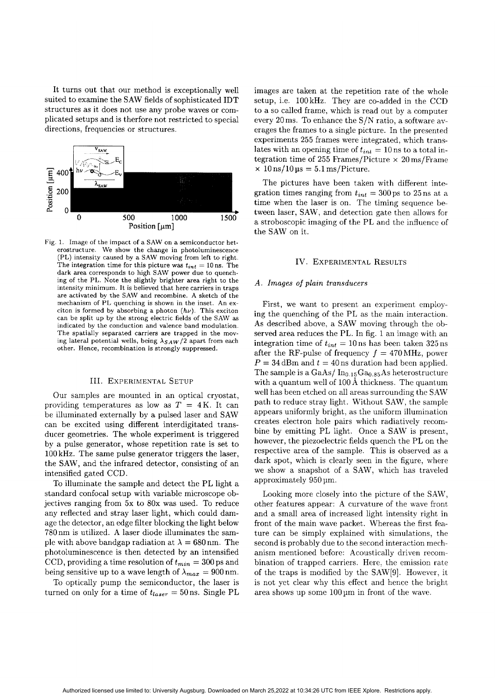It turns out that our method is exceptionally well suited to examine the SAW fields of sophisticated IDT structures as it does not use any probe waves or complicated setups and is therfore not restricted to special directions, frequencies or structures.



Fig. 1. Image of the impact of a SAW on a semiconductor heterostructure. We show the change in photoluminescence (PL) intensity caused by a SAW moving from left to right. The integration time for this picture was  $t_{int} = 10$  ns. The dark area corresponds to high SAW power due to quenching of the PL. Note the slightly brighter area right to the intensity minimum. It is believed that here carriers in traps are activated by the SAW and recombine. A sketch of the mechanism of PL quenching is shown in the inset. An exciton is formed by absorbing a photon  $(h\nu)$ . This exciton can be split up by the strong electric fields of the SAW **as** indicated by the conduction and valence band modulation. The spatially separated carriers are trapped in the moving lateral potential wells, being  $\lambda_{SAW}/2$  apart from each other. Hence, recombination is strongly suppressed.

## III. EXPERIMENTAL SETUP

Our samples are mounted in an optical cryostat, providing temperatures as low as  $T = 4K$ . It can be illuminated externally by a pulsed laser and SAW can be excited using different interdigitated transducer geometries. The whole experiment is triggered by a pulse generator, whose repetition rate is set to 100kHz. The same pulse generator triggers the laser, the **SAW,** and the infrared detector, consisting of an intensified gated CCD.

To illuminate the sample and detect the PL light a standard confocal setup with variable microscope objectives ranging from 5x to **BOX** was used. To reduce any reflected and stray laser light, which could damage the detector, an edge filter blocking the light below 780nm is utilized. **A** laser diode illuminates the sample with above bandgap radiation at  $\lambda = 680$  nm. The photoluminescence is then detected by an intensified CCD, providing a time resolution of  $t_{min} = 300$  ps and being sensitive up to a wave length of  $\lambda_{max} = 900$  nm.

To optically pump the semiconductor, the laser is turned on only for a time of  $t_{laser}= 50$  ns. Single PL images are taken at the repetition rate of the whole setup, i.e. 100kHz. They are co-added in the CCD to a so called frame, which is read out by a computer every 20ms. To enhance the S/N ratio, a software averages the frames to a single picture. In the presented experiments 255 frames were integrated, which translates with an opening time of  $t_{int} = 10$  ns to a total integration time of 255 Frames/Picture  $\times$  20 ms/Frame  $\times$  10 ns/10 µs = 5.1 ms/Picture.

The pictures have been taken with different integration times ranging from  $t_{int} = 300 \text{ ps to } 25 \text{ ns at a}$ time when the laser is on. The timing sequence between laser, SAW, and detection gate then allows for a stroboscopic imaging of the PL and the influence of the SAW on it.

#### IV. EXPERIMENTAL RESULTS

#### *A . Images of plain transducers*

First, we want to present an experiment employing the quenching of the PL as the main interaction. As described above, a SAW moving through the observed area reduces the PL. In fig. 1 an image with an integration time of  $t_{int} = 10$  ns has been taken 325 ns after the RF-pulse of frequency  $f = 470 \text{ MHz}$ , power  $P = 34$  dBm and  $t = 40$  ns duration had been applied. The sample is a GaAs/ $In<sub>0.15</sub>Ga<sub>0.85</sub>As heterostructure$ with a quantum well of  $100 \text{\AA}$  thickness. The quantum well has been etched on all areas surrounding the SAW path to reduce stray light. Without SAW, the sample appears uniformly bright, as the uniform illumination creates electron hole pairs which radiatively recombine by emitting PL light. Once a SAW is present, however, the piezoelectric fields quench the PL on the respective area of the sample. This is observed as a dark spot, which is clearly seen in the figure, where we show a snapshot of a SAW, which has traveled approximately 950 pm.

Looking more closely into the picture of the SAW, other features appear: **A** curvature of the wave front and a small area of increased light intensity right in front of the main wave packet. Whereas the first feature can be simply explained with simulations, the second is probably due to the second interaction mechanism mentioned before: Acoustically driven recombination of trapped carriers. Here, the emission rate of the traps is modified by the SAW[9]. However, it is not yet clear why this effect and hence the bright area shows up some  $100 \mu m$  in front of the wave.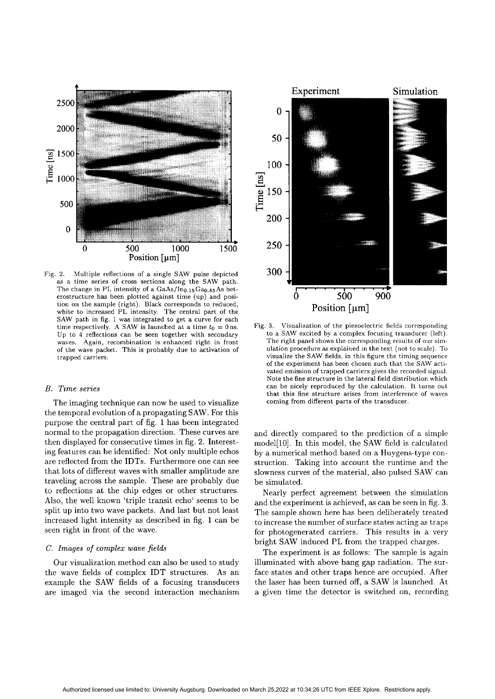

Fig. 2. Multiple reflections of a single SAW pulse depicted as a time series of cross sections along the SAW path. The change in PL intensity of a  $GaAs/In<sub>0.15</sub>Ga<sub>0.85</sub>As het$ erostructure has been plotted against time (up) and position on the sample (right). Black corresponds to reduced, white to increased PL intensity. The central part of the SAW path in fig. 1 **was** integrated to get a curve for each time respectively. A SAW is launched at a time  $t_0 = 0$  ns. Up to **4** reflections can be seen together with secondary waves. Again, recombination is enhanced right in front of the wave packet. This is probably due to activation of trapped carriers.

## *B. Time series*

The imaging technique can now be used to visualize the temporal evolution of a propagating SAW. For this purpose the central part of fig. 1has been integrated normal to the propagation direction. These curves are then displayed for consecutive times in fig. 2. Interesting features can be identified: Not only multiple echos are reflected from the IDTs. Furthermore one can see that lots of different waves with smaller amplitude are traveling across the sample. These are probably due to reflections at the chip edges or other structures. Also, the well known 'triple transit echo' seems to be split up into two wave packets. And last but not least increased light intensity **as** described in fig. **1** can be seen right in front of the wave.

### *C. Images of complex wave fields*

Our visualization method can also be used to study the wave fields of complex IDT structures. As an example the SAW fields of a focusing transducers are imaged via the second interaction mechanism



Fig. **3.** Visualization of the piezoelectric fields corresponding to a SAW excited by a complex focusing transducer (left). The right panel shows the corresponding results of our simulation procedure as explained in the text (not to scale). To visualize the SAW fields, in this figure the timing sequence of the experiment has been chosen such that the SAW activated emission of trapped carriers gives the recorded signal. Note the fine structure in the lateral field distribution which can be nicely reproduced by the calculation. It turns out that this fine structure arises from interference of waves coming from different parts of the transducer.

and directly compared to the prediction of a simple  $model[10]$ . In this model, the SAW field is calculated by a numerical method based on a Huygens-type construction. Taking into account the runtime and the slowness curves of the material, also pulsed SAW can be simulated.

Nearly perfect agreement between the simulation and the experiment is achieved, as can be seen in fig. **3.** The sample shown here has been deliberately treated to increase the number of surface states acting **as** traps for photogenerated carriers. This results in a very bright SAW induced PL from the trapped charges.

The experiment is as follows: The sample is again illuminated with above bang gap radiation. The surface states and other traps hence are occupied. After the laser has been turned off, a SAW is launched. At a given time the detector is switched on, recording